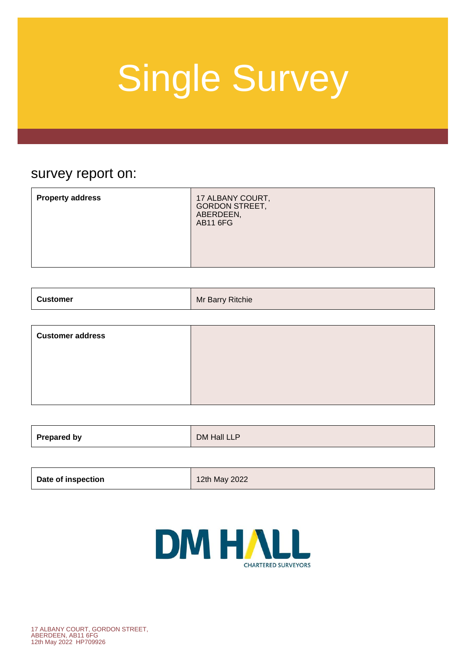### survey report on:

| <b>Property address</b><br>17 ALBANY COURT,<br><b>GORDON STREET,</b><br>ABERDEEN,<br><b>AB11 6FG</b> |
|------------------------------------------------------------------------------------------------------|
|------------------------------------------------------------------------------------------------------|

| . Customer | Ritchie  |
|------------|----------|
|            | Mr Barry |
|            |          |

| <b>Customer address</b> |  |
|-------------------------|--|
|                         |  |
|                         |  |
|                         |  |

| Prepared by | DM Hall LLP |
|-------------|-------------|
|             |             |

| Date of inspection | 12th May 2022 |
|--------------------|---------------|
|--------------------|---------------|

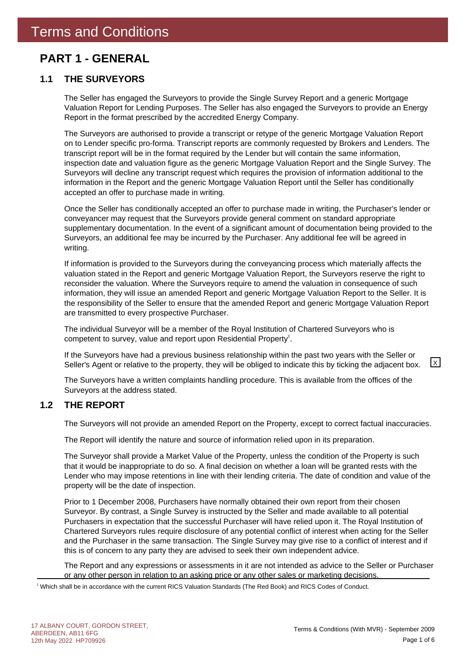### **PART 1 - GENERAL**

#### **1.1 THE SURVEYORS**

The Seller has engaged the Surveyors to provide the Single Survey Report and a generic Mortgage Valuation Report for Lending Purposes. The Seller has also engaged the Surveyors to provide an Energy Report in the format prescribed by the accredited Energy Company.

The Surveyors are authorised to provide a transcript or retype of the generic Mortgage Valuation Report on to Lender specific pro-forma. Transcript reports are commonly requested by Brokers and Lenders. The transcript report will be in the format required by the Lender but will contain the same information, inspection date and valuation figure as the generic Mortgage Valuation Report and the Single Survey. The Surveyors will decline any transcript request which requires the provision of information additional to the information in the Report and the generic Mortgage Valuation Report until the Seller has conditionally accepted an offer to purchase made in writing.

Once the Seller has conditionally accepted an offer to purchase made in writing, the Purchaser's lender or conveyancer may request that the Surveyors provide general comment on standard appropriate supplementary documentation. In the event of a significant amount of documentation being provided to the Surveyors, an additional fee may be incurred by the Purchaser. Any additional fee will be agreed in writing.

If information is provided to the Surveyors during the conveyancing process which materially affects the valuation stated in the Report and generic Mortgage Valuation Report, the Surveyors reserve the right to reconsider the valuation. Where the Surveyors require to amend the valuation in consequence of such information, they will issue an amended Report and generic Mortgage Valuation Report to the Seller. It is the responsibility of the Seller to ensure that the amended Report and generic Mortgage Valuation Report are transmitted to every prospective Purchaser.

The individual Surveyor will be a member of the Royal Institution of Chartered Surveyors who is competent to survey, value and report upon Residential Property<sup>1</sup>.

If the Surveyors have had a previous business relationship within the past two years with the Seller or Seller's Agent or relative to the property, they will be obliged to indicate this by ticking the adjacent box.  $\boxed{\times}$ 

The Surveyors have a written complaints handling procedure. This is available from the offices of the Surveyors at the address stated.

#### **1.2 THE REPORT**

The Surveyors will not provide an amended Report on the Property, except to correct factual inaccuracies.

The Report will identify the nature and source of information relied upon in its preparation.

The Surveyor shall provide a Market Value of the Property, unless the condition of the Property is such that it would be inappropriate to do so. A final decision on whether a loan will be granted rests with the Lender who may impose retentions in line with their lending criteria. The date of condition and value of the property will be the date of inspection.

Prior to 1 December 2008, Purchasers have normally obtained their own report from their chosen Surveyor. By contrast, a Single Survey is instructed by the Seller and made available to all potential Purchasers in expectation that the successful Purchaser will have relied upon it. The Royal Institution of Chartered Surveyors rules require disclosure of any potential conflict of interest when acting for the Seller and the Purchaser in the same transaction. The Single Survey may give rise to a conflict of interest and if this is of concern to any party they are advised to seek their own independent advice.

The Report and any expressions or assessments in it are not intended as advice to the Seller or Purchaser or any other person in relation to an asking price or any other sales or marketing decisions.

1 Which shall be in accordance with the current RICS Valuation Standards (The Red Book) and RICS Codes of Conduct.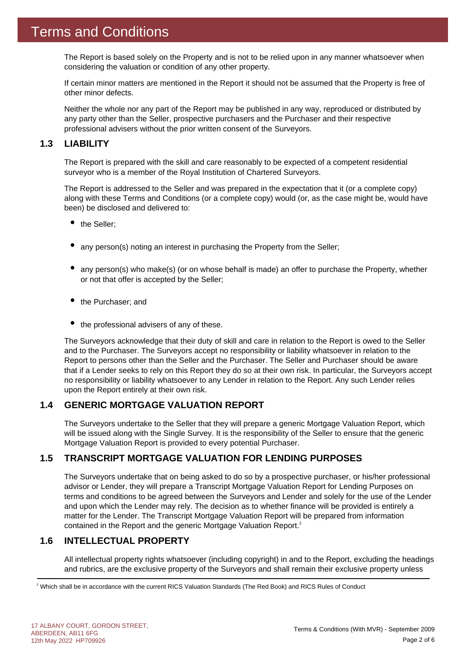The Report is based solely on the Property and is not to be relied upon in any manner whatsoever when considering the valuation or condition of any other property.

If certain minor matters are mentioned in the Report it should not be assumed that the Property is free of other minor defects.

Neither the whole nor any part of the Report may be published in any way, reproduced or distributed by any party other than the Seller, prospective purchasers and the Purchaser and their respective professional advisers without the prior written consent of the Surveyors.

#### **1.3 LIABILITY**

The Report is prepared with the skill and care reasonably to be expected of a competent residential surveyor who is a member of the Royal Institution of Chartered Surveyors.

The Report is addressed to the Seller and was prepared in the expectation that it (or a complete copy) along with these Terms and Conditions (or a complete copy) would (or, as the case might be, would have been) be disclosed and delivered to:

- the Seller:
- any person(s) noting an interest in purchasing the Property from the Seller;
- any person(s) who make(s) (or on whose behalf is made) an offer to purchase the Property, whether or not that offer is accepted by the Seller;
- the Purchaser; and
- $\bullet$  the professional advisers of any of these.

The Surveyors acknowledge that their duty of skill and care in relation to the Report is owed to the Seller and to the Purchaser. The Surveyors accept no responsibility or liability whatsoever in relation to the Report to persons other than the Seller and the Purchaser. The Seller and Purchaser should be aware that if a Lender seeks to rely on this Report they do so at their own risk. In particular, the Surveyors accept no responsibility or liability whatsoever to any Lender in relation to the Report. Any such Lender relies upon the Report entirely at their own risk.

#### **1.4 GENERIC MORTGAGE VALUATION REPORT**

The Surveyors undertake to the Seller that they will prepare a generic Mortgage Valuation Report, which will be issued along with the Single Survey. It is the responsibility of the Seller to ensure that the generic Mortgage Valuation Report is provided to every potential Purchaser.

#### **1.5 TRANSCRIPT MORTGAGE VALUATION FOR LENDING PURPOSES**

The Surveyors undertake that on being asked to do so by a prospective purchaser, or his/her professional advisor or Lender, they will prepare a Transcript Mortgage Valuation Report for Lending Purposes on terms and conditions to be agreed between the Surveyors and Lender and solely for the use of the Lender and upon which the Lender may rely. The decision as to whether finance will be provided is entirely a matter for the Lender. The Transcript Mortgage Valuation Report will be prepared from information contained in the Report and the generic Mortgage Valuation Report.<sup>2</sup>

#### **1.6 INTELLECTUAL PROPERTY**

All intellectual property rights whatsoever (including copyright) in and to the Report, excluding the headings and rubrics, are the exclusive property of the Surveyors and shall remain their exclusive property unless

 $^2$  Which shall be in accordance with the current RICS Valuation Standards (The Red Book) and RICS Rules of Conduct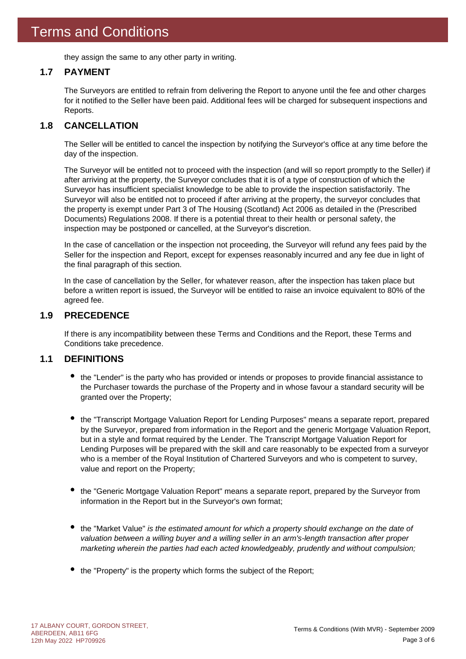they assign the same to any other party in writing.

#### **1.7 PAYMENT**

The Surveyors are entitled to refrain from delivering the Report to anyone until the fee and other charges for it notified to the Seller have been paid. Additional fees will be charged for subsequent inspections and Reports.

#### **1.8 CANCELLATION**

The Seller will be entitled to cancel the inspection by notifying the Surveyor's office at any time before the day of the inspection.

The Surveyor will be entitled not to proceed with the inspection (and will so report promptly to the Seller) if after arriving at the property, the Surveyor concludes that it is of a type of construction of which the Surveyor has insufficient specialist knowledge to be able to provide the inspection satisfactorily. The Surveyor will also be entitled not to proceed if after arriving at the property, the surveyor concludes that the property is exempt under Part 3 of The Housing (Scotland) Act 2006 as detailed in the (Prescribed Documents) Regulations 2008. If there is a potential threat to their health or personal safety, the inspection may be postponed or cancelled, at the Surveyor's discretion.

In the case of cancellation or the inspection not proceeding, the Surveyor will refund any fees paid by the Seller for the inspection and Report, except for expenses reasonably incurred and any fee due in light of the final paragraph of this section.

In the case of cancellation by the Seller, for whatever reason, after the inspection has taken place but before a written report is issued, the Surveyor will be entitled to raise an invoice equivalent to 80% of the agreed fee.

#### **1.9 PRECEDENCE**

If there is any incompatibility between these Terms and Conditions and the Report, these Terms and Conditions take precedence.

#### **1.1 DEFINITIONS**

- the "Lender" is the party who has provided or intends or proposes to provide financial assistance to the Purchaser towards the purchase of the Property and in whose favour a standard security will be granted over the Property;
- the "Transcript Mortgage Valuation Report for Lending Purposes" means a separate report, prepared by the Surveyor, prepared from information in the Report and the generic Mortgage Valuation Report, but in a style and format required by the Lender. The Transcript Mortgage Valuation Report for Lending Purposes will be prepared with the skill and care reasonably to be expected from a surveyor who is a member of the Royal Institution of Chartered Surveyors and who is competent to survey, value and report on the Property;
- the "Generic Mortgage Valuation Report" means a separate report, prepared by the Surveyor from information in the Report but in the Surveyor's own format;
- the "Market Value" *is the estimated amount for which a property should exchange on the date of valuation between a willing buyer and a willing seller in an arm's-length transaction after proper marketing wherein the parties had each acted knowledgeably, prudently and without compulsion;*
- the "Property" is the property which forms the subject of the Report;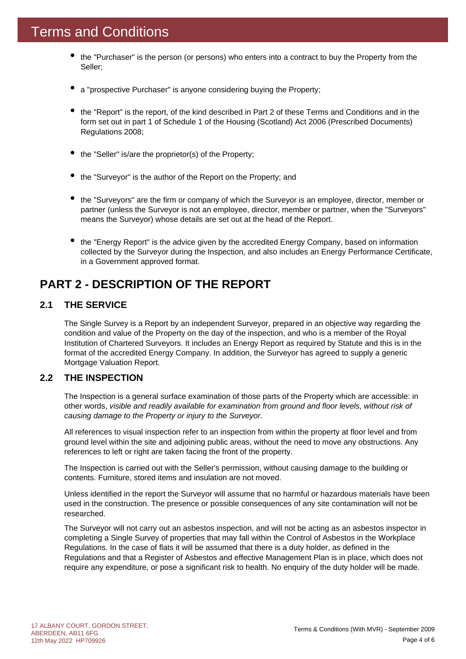- the "Purchaser" is the person (or persons) who enters into a contract to buy the Property from the Seller;
- a "prospective Purchaser" is anyone considering buying the Property;
- the "Report" is the report, of the kind described in Part 2 of these Terms and Conditions and in the form set out in part 1 of Schedule 1 of the Housing (Scotland) Act 2006 (Prescribed Documents) Regulations 2008;
- the "Seller" is/are the proprietor(s) of the Property;
- the "Surveyor" is the author of the Report on the Property; and
- the "Surveyors" are the firm or company of which the Surveyor is an employee, director, member or partner (unless the Surveyor is not an employee, director, member or partner, when the "Surveyors" means the Surveyor) whose details are set out at the head of the Report.
- the "Energy Report" is the advice given by the accredited Energy Company, based on information collected by the Surveyor during the Inspection, and also includes an Energy Performance Certificate, in a Government approved format.

### **PART 2 - DESCRIPTION OF THE REPORT**

#### **2.1 THE SERVICE**

The Single Survey is a Report by an independent Surveyor, prepared in an objective way regarding the condition and value of the Property on the day of the inspection, and who is a member of the Royal Institution of Chartered Surveyors. It includes an Energy Report as required by Statute and this is in the format of the accredited Energy Company. In addition, the Surveyor has agreed to supply a generic Mortgage Valuation Report.

#### **2.2 THE INSPECTION**

The Inspection is a general surface examination of those parts of the Property which are accessible: in other words, *visible and readily available for examination from ground and floor levels, without risk of causing damage to the Property or injury to the Surveyor.*

All references to visual inspection refer to an inspection from within the property at floor level and from ground level within the site and adjoining public areas, without the need to move any obstructions. Any references to left or right are taken facing the front of the property.

The Inspection is carried out with the Seller's permission, without causing damage to the building or contents. Furniture, stored items and insulation are not moved.

Unless identified in the report the Surveyor will assume that no harmful or hazardous materials have been used in the construction. The presence or possible consequences of any site contamination will not be researched.

The Surveyor will not carry out an asbestos inspection, and will not be acting as an asbestos inspector in completing a Single Survey of properties that may fall within the Control of Asbestos in the Workplace Regulations. In the case of flats it will be assumed that there is a duty holder, as defined in the Regulations and that a Register of Asbestos and effective Management Plan is in place, which does not require any expenditure, or pose a significant risk to health. No enquiry of the duty holder will be made.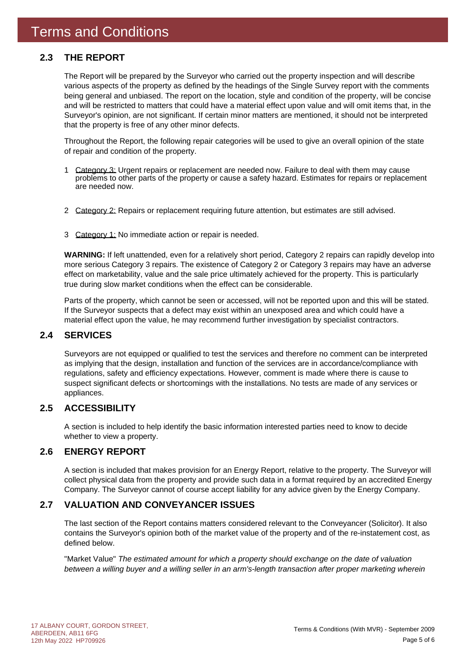#### **2.3 THE REPORT**

The Report will be prepared by the Surveyor who carried out the property inspection and will describe various aspects of the property as defined by the headings of the Single Survey report with the comments being general and unbiased. The report on the location, style and condition of the property, will be concise and will be restricted to matters that could have a material effect upon value and will omit items that, in the Surveyor's opinion, are not significant. If certain minor matters are mentioned, it should not be interpreted that the property is free of any other minor defects.

Throughout the Report, the following repair categories will be used to give an overall opinion of the state of repair and condition of the property.

- 1 Category 3: Urgent repairs or replacement are needed now. Failure to deal with them may cause problems to other parts of the property or cause a safety hazard. Estimates for repairs or replacement are needed now.
- 2 Category 2: Repairs or replacement requiring future attention, but estimates are still advised.
- 3 Category 1: No immediate action or repair is needed.

**WARNING:** If left unattended, even for a relatively short period, Category 2 repairs can rapidly develop into more serious Category 3 repairs. The existence of Category 2 or Category 3 repairs may have an adverse effect on marketability, value and the sale price ultimately achieved for the property. This is particularly true during slow market conditions when the effect can be considerable.

Parts of the property, which cannot be seen or accessed, will not be reported upon and this will be stated. If the Surveyor suspects that a defect may exist within an unexposed area and which could have a material effect upon the value, he may recommend further investigation by specialist contractors.

#### **2.4 SERVICES**

Surveyors are not equipped or qualified to test the services and therefore no comment can be interpreted as implying that the design, installation and function of the services are in accordance/compliance with regulations, safety and efficiency expectations. However, comment is made where there is cause to suspect significant defects or shortcomings with the installations. No tests are made of any services or appliances.

#### **2.5 ACCESSIBILITY**

A section is included to help identify the basic information interested parties need to know to decide whether to view a property.

#### **2.6 ENERGY REPORT**

A section is included that makes provision for an Energy Report, relative to the property. The Surveyor will collect physical data from the property and provide such data in a format required by an accredited Energy Company. The Surveyor cannot of course accept liability for any advice given by the Energy Company.

#### **2.7 VALUATION AND CONVEYANCER ISSUES**

The last section of the Report contains matters considered relevant to the Conveyancer (Solicitor). It also contains the Surveyor's opinion both of the market value of the property and of the re-instatement cost, as defined below.

"Market Value" *The estimated amount for which a property should exchange on the date of valuation between a willing buyer and a willing seller in an arm's-length transaction after proper marketing wherein*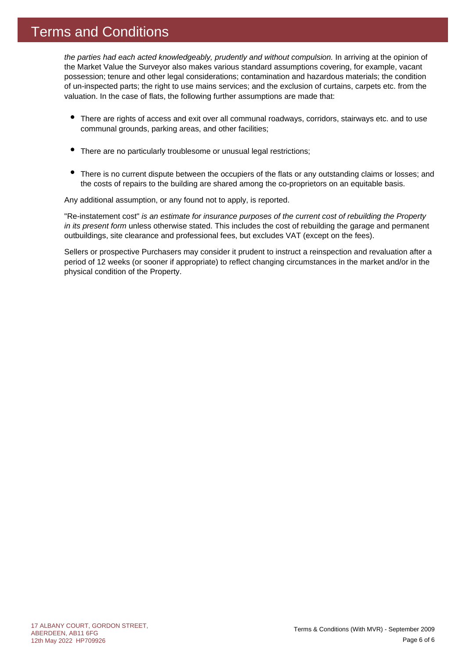### Terms and Conditions

*the parties had each acted knowledgeably, prudently and without compulsion.* In arriving at the opinion of the Market Value the Surveyor also makes various standard assumptions covering, for example, vacant possession; tenure and other legal considerations; contamination and hazardous materials; the condition of un-inspected parts; the right to use mains services; and the exclusion of curtains, carpets etc. from the valuation. In the case of flats, the following further assumptions are made that:

- There are rights of access and exit over all communal roadways, corridors, stairways etc. and to use communal grounds, parking areas, and other facilities;
- $\bullet$ There are no particularly troublesome or unusual legal restrictions;
- There is no current dispute between the occupiers of the flats or any outstanding claims or losses; and the costs of repairs to the building are shared among the co-proprietors on an equitable basis.

Any additional assumption, or any found not to apply, is reported.

"Re-instatement cost" *is an estimate for insurance purposes of the current cost of rebuilding the Property in its present form* unless otherwise stated. This includes the cost of rebuilding the garage and permanent outbuildings, site clearance and professional fees, but excludes VAT (except on the fees).

Sellers or prospective Purchasers may consider it prudent to instruct a reinspection and revaluation after a period of 12 weeks (or sooner if appropriate) to reflect changing circumstances in the market and/or in the physical condition of the Property.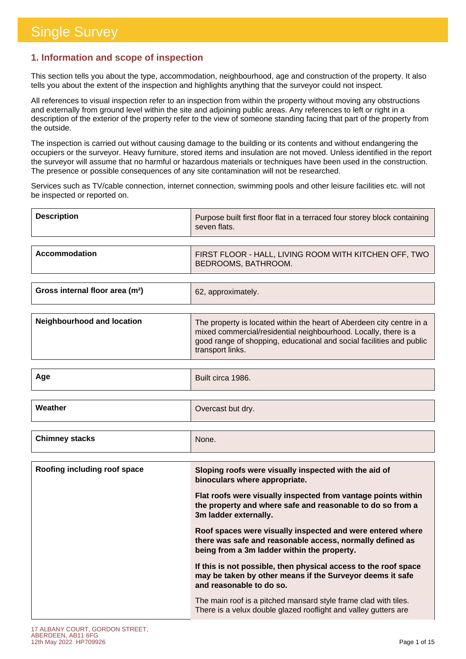#### **1. Information and scope of inspection**

This section tells you about the type, accommodation, neighbourhood, age and construction of the property. It also tells you about the extent of the inspection and highlights anything that the surveyor could not inspect.

All references to visual inspection refer to an inspection from within the property without moving any obstructions and externally from ground level within the site and adjoining public areas. Any references to left or right in a description of the exterior of the property refer to the view of someone standing facing that part of the property from the outside.

The inspection is carried out without causing damage to the building or its contents and without endangering the occupiers or the surveyor. Heavy furniture, stored items and insulation are not moved. Unless identified in the report the surveyor will assume that no harmful or hazardous materials or techniques have been used in the construction. The presence or possible consequences of any site contamination will not be researched.

Services such as TV/cable connection, internet connection, swimming pools and other leisure facilities etc. will not be inspected or reported on.

| <b>Description</b> | Purpose built first floor flat in a terraced four storey block containing<br>seven flats. |
|--------------------|-------------------------------------------------------------------------------------------|
|                    |                                                                                           |
| Accommodation      | FIRST FLOOR - HALL, LIVING ROOM WITH KITCHEN OFF, TWO<br><b>BEDROOMS, BATHROOM.</b>       |

| Gross internal floor area (m <sup>2</sup> ) | 62, approximately. |
|---------------------------------------------|--------------------|
|                                             |                    |

| Neighbourhood and location | The property is located within the heart of Aberdeen city centre in a<br>mixed commercial/residential neighbourhood. Locally, there is a<br>good range of shopping, educational and social facilities and public<br>transport links. |
|----------------------------|--------------------------------------------------------------------------------------------------------------------------------------------------------------------------------------------------------------------------------------|
|                            |                                                                                                                                                                                                                                      |

| Age     | Built circa 1986. |
|---------|-------------------|
|         |                   |
| Weather | Overcast but dry. |

| Roofing including roof space | Sloping roofs were visually inspected with the aid of<br>binoculars where appropriate.                                                                                 |
|------------------------------|------------------------------------------------------------------------------------------------------------------------------------------------------------------------|
|                              | Flat roofs were visually inspected from vantage points within<br>the property and where safe and reasonable to do so from a<br>3m ladder externally.                   |
|                              | Roof spaces were visually inspected and were entered where<br>there was safe and reasonable access, normally defined as<br>being from a 3m ladder within the property. |
|                              | If this is not possible, then physical access to the roof space<br>may be taken by other means if the Surveyor deems it safe<br>and reasonable to do so.               |
|                              | The main roof is a pitched mansard style frame clad with tiles.<br>There is a velux double glazed rooflight and valley gutters are                                     |
|                              |                                                                                                                                                                        |

**Chimney stacks** None.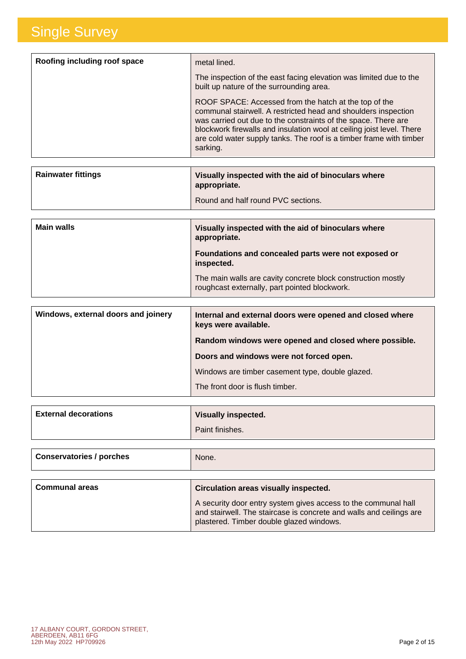| Roofing including roof space | metal lined.                                                                                                                                                                                                                                                                                                                                          |
|------------------------------|-------------------------------------------------------------------------------------------------------------------------------------------------------------------------------------------------------------------------------------------------------------------------------------------------------------------------------------------------------|
|                              | The inspection of the east facing elevation was limited due to the<br>built up nature of the surrounding area.                                                                                                                                                                                                                                        |
|                              | ROOF SPACE: Accessed from the hatch at the top of the<br>communal stairwell. A restricted head and shoulders inspection<br>was carried out due to the constraints of the space. There are<br>blockwork firewalls and insulation wool at ceiling joist level. There<br>are cold water supply tanks. The roof is a timber frame with timber<br>sarking. |
|                              |                                                                                                                                                                                                                                                                                                                                                       |

| <b>Rainwater fittings</b> | Visually inspected with the aid of binoculars where<br>appropriate. |
|---------------------------|---------------------------------------------------------------------|
|                           | Round and half round PVC sections.                                  |

| <b>Main walls</b> | Visually inspected with the aid of binoculars where<br>appropriate.                                           |
|-------------------|---------------------------------------------------------------------------------------------------------------|
|                   | Foundations and concealed parts were not exposed or<br>inspected.                                             |
|                   | The main walls are cavity concrete block construction mostly<br>roughcast externally, part pointed blockwork. |

| Windows, external doors and joinery | Internal and external doors were opened and closed where<br>keys were available. |
|-------------------------------------|----------------------------------------------------------------------------------|
|                                     | Random windows were opened and closed where possible.                            |
|                                     | Doors and windows were not forced open.                                          |
|                                     | Windows are timber casement type, double glazed.                                 |
|                                     | The front door is flush timber.                                                  |

| Paint finishes. | <b>External decorations</b> | <b>Visually inspected.</b> |
|-----------------|-----------------------------|----------------------------|
|                 |                             |                            |

| <b>Conservatories / porches</b> | None. |  |
|---------------------------------|-------|--|
|                                 |       |  |

| <b>Communal areas</b> | Circulation areas visually inspected.                                                                                                                                             |
|-----------------------|-----------------------------------------------------------------------------------------------------------------------------------------------------------------------------------|
|                       | A security door entry system gives access to the communal hall<br>and stairwell. The staircase is concrete and walls and ceilings are<br>plastered. Timber double glazed windows. |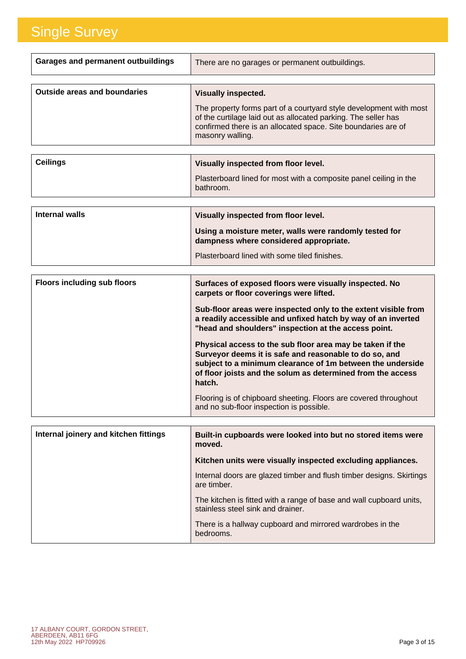| <b>Garages and permanent outbuildings</b> | There are no garages or permanent outbuildings.                                                                                                                                                                           |
|-------------------------------------------|---------------------------------------------------------------------------------------------------------------------------------------------------------------------------------------------------------------------------|
|                                           |                                                                                                                                                                                                                           |
| <b>Outside areas and boundaries</b>       | <b>Visually inspected.</b>                                                                                                                                                                                                |
|                                           | The property forms part of a courtyard style development with most<br>of the curtilage laid out as allocated parking. The seller has<br>confirmed there is an allocated space. Site boundaries are of<br>masonry walling. |
|                                           |                                                                                                                                                                                                                           |
| <b>Ceilings</b>                           | Visually inspected from floor level.                                                                                                                                                                                      |
|                                           | Plasterboard lined for most with a composite panel ceiling in the<br>bathroom.                                                                                                                                            |

| Internal walls | Visually inspected from floor level.                                                             |
|----------------|--------------------------------------------------------------------------------------------------|
|                | Using a moisture meter, walls were randomly tested for<br>dampness where considered appropriate. |
|                | Plasterboard lined with some tiled finishes.                                                     |

| <b>Floors including sub floors</b> | Surfaces of exposed floors were visually inspected. No<br>carpets or floor coverings were lifted.                                                                                                                                                          |
|------------------------------------|------------------------------------------------------------------------------------------------------------------------------------------------------------------------------------------------------------------------------------------------------------|
|                                    | Sub-floor areas were inspected only to the extent visible from<br>a readily accessible and unfixed hatch by way of an inverted<br>"head and shoulders" inspection at the access point.                                                                     |
|                                    | Physical access to the sub floor area may be taken if the<br>Surveyor deems it is safe and reasonable to do so, and<br>subject to a minimum clearance of 1m between the underside<br>of floor joists and the solum as determined from the access<br>hatch. |
|                                    | Flooring is of chipboard sheeting. Floors are covered throughout<br>and no sub-floor inspection is possible.                                                                                                                                               |

| Internal joinery and kitchen fittings | Built-in cupboards were looked into but no stored items were<br>moved.                                   |
|---------------------------------------|----------------------------------------------------------------------------------------------------------|
|                                       | Kitchen units were visually inspected excluding appliances.                                              |
|                                       | Internal doors are glazed timber and flush timber designs. Skirtings<br>are timber.                      |
|                                       | The kitchen is fitted with a range of base and wall cupboard units,<br>stainless steel sink and drainer. |
|                                       | There is a hallway cupboard and mirrored wardrobes in the<br>bedrooms.                                   |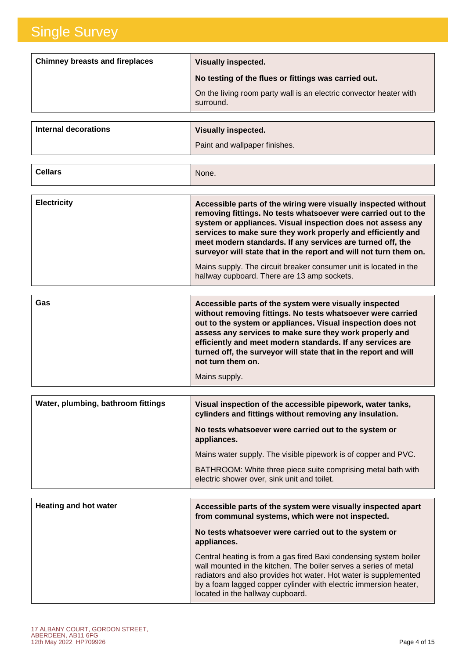| <b>Chimney breasts and fireplaces</b> | <b>Visually inspected.</b>                                                      |
|---------------------------------------|---------------------------------------------------------------------------------|
|                                       | No testing of the flues or fittings was carried out.                            |
|                                       | On the living room party wall is an electric convector heater with<br>surround. |

| Internal decorations | <b>Visually inspected.</b>    |
|----------------------|-------------------------------|
|                      | Paint and wallpaper finishes. |

| <b>Cellars</b> | None. |
|----------------|-------|
|----------------|-------|

| <b>Electricity</b> | Accessible parts of the wiring were visually inspected without<br>removing fittings. No tests whatsoever were carried out to the<br>system or appliances. Visual inspection does not assess any<br>services to make sure they work properly and efficiently and<br>meet modern standards. If any services are turned off, the<br>surveyor will state that in the report and will not turn them on. |
|--------------------|----------------------------------------------------------------------------------------------------------------------------------------------------------------------------------------------------------------------------------------------------------------------------------------------------------------------------------------------------------------------------------------------------|
|                    | Mains supply. The circuit breaker consumer unit is located in the<br>hallway cupboard. There are 13 amp sockets.                                                                                                                                                                                                                                                                                   |

| Gas | Accessible parts of the system were visually inspected<br>without removing fittings. No tests whatsoever were carried<br>out to the system or appliances. Visual inspection does not<br>assess any services to make sure they work properly and<br>efficiently and meet modern standards. If any services are<br>turned off, the surveyor will state that in the report and will<br>not turn them on. |
|-----|-------------------------------------------------------------------------------------------------------------------------------------------------------------------------------------------------------------------------------------------------------------------------------------------------------------------------------------------------------------------------------------------------------|
|     | Mains supply.                                                                                                                                                                                                                                                                                                                                                                                         |

| Visual inspection of the accessible pipework, water tanks,<br>cylinders and fittings without removing any insulation. |
|-----------------------------------------------------------------------------------------------------------------------|
| No tests whatsoever were carried out to the system or<br>appliances.                                                  |
| Mains water supply. The visible pipework is of copper and PVC.                                                        |
| BATHROOM: White three piece suite comprising metal bath with<br>electric shower over, sink unit and toilet.           |
|                                                                                                                       |

| <b>Heating and hot water</b> | Accessible parts of the system were visually inspected apart<br>from communal systems, which were not inspected.<br>No tests whatsoever were carried out to the system or<br>appliances.                                                                                                                          |
|------------------------------|-------------------------------------------------------------------------------------------------------------------------------------------------------------------------------------------------------------------------------------------------------------------------------------------------------------------|
|                              | Central heating is from a gas fired Baxi condensing system boiler<br>wall mounted in the kitchen. The boiler serves a series of metal<br>radiators and also provides hot water. Hot water is supplemented<br>by a foam lagged copper cylinder with electric immersion heater,<br>located in the hallway cupboard. |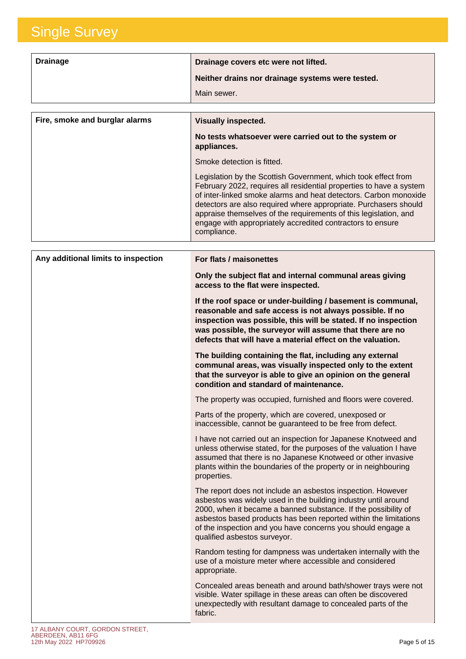| <b>Drainage</b>                | Drainage covers etc were not lifted.                                                                                                                                                                                                                                                                                                                                                                                           |
|--------------------------------|--------------------------------------------------------------------------------------------------------------------------------------------------------------------------------------------------------------------------------------------------------------------------------------------------------------------------------------------------------------------------------------------------------------------------------|
|                                | Neither drains nor drainage systems were tested.                                                                                                                                                                                                                                                                                                                                                                               |
|                                | Main sewer.                                                                                                                                                                                                                                                                                                                                                                                                                    |
|                                |                                                                                                                                                                                                                                                                                                                                                                                                                                |
| Fire, smoke and burglar alarms | <b>Visually inspected.</b>                                                                                                                                                                                                                                                                                                                                                                                                     |
|                                | No tests whatsoever were carried out to the system or<br>appliances.                                                                                                                                                                                                                                                                                                                                                           |
|                                | Smoke detection is fitted.                                                                                                                                                                                                                                                                                                                                                                                                     |
|                                | Legislation by the Scottish Government, which took effect from<br>February 2022, requires all residential properties to have a system<br>of inter-linked smoke alarms and heat detectors. Carbon monoxide<br>detectors are also required where appropriate. Purchasers should<br>appraise themselves of the requirements of this legislation, and<br>engage with appropriately accredited contractors to ensure<br>compliance. |

| Any additional limits to inspection | For flats / maisonettes                                                                                                                                                                                                                                                                                                                                            |
|-------------------------------------|--------------------------------------------------------------------------------------------------------------------------------------------------------------------------------------------------------------------------------------------------------------------------------------------------------------------------------------------------------------------|
|                                     | Only the subject flat and internal communal areas giving<br>access to the flat were inspected.                                                                                                                                                                                                                                                                     |
|                                     | If the roof space or under-building / basement is communal,<br>reasonable and safe access is not always possible. If no<br>inspection was possible, this will be stated. If no inspection<br>was possible, the surveyor will assume that there are no<br>defects that will have a material effect on the valuation.                                                |
|                                     | The building containing the flat, including any external<br>communal areas, was visually inspected only to the extent<br>that the surveyor is able to give an opinion on the general<br>condition and standard of maintenance.                                                                                                                                     |
|                                     | The property was occupied, furnished and floors were covered.                                                                                                                                                                                                                                                                                                      |
|                                     | Parts of the property, which are covered, unexposed or<br>inaccessible, cannot be guaranteed to be free from defect.                                                                                                                                                                                                                                               |
|                                     | I have not carried out an inspection for Japanese Knotweed and<br>unless otherwise stated, for the purposes of the valuation I have<br>assumed that there is no Japanese Knotweed or other invasive<br>plants within the boundaries of the property or in neighbouring<br>properties.                                                                              |
|                                     | The report does not include an asbestos inspection. However<br>asbestos was widely used in the building industry until around<br>2000, when it became a banned substance. If the possibility of<br>asbestos based products has been reported within the limitations<br>of the inspection and you have concerns you should engage a<br>qualified asbestos surveyor. |
|                                     | Random testing for dampness was undertaken internally with the<br>use of a moisture meter where accessible and considered<br>appropriate.                                                                                                                                                                                                                          |
|                                     | Concealed areas beneath and around bath/shower trays were not<br>visible. Water spillage in these areas can often be discovered<br>unexpectedly with resultant damage to concealed parts of the<br>fabric.                                                                                                                                                         |
|                                     |                                                                                                                                                                                                                                                                                                                                                                    |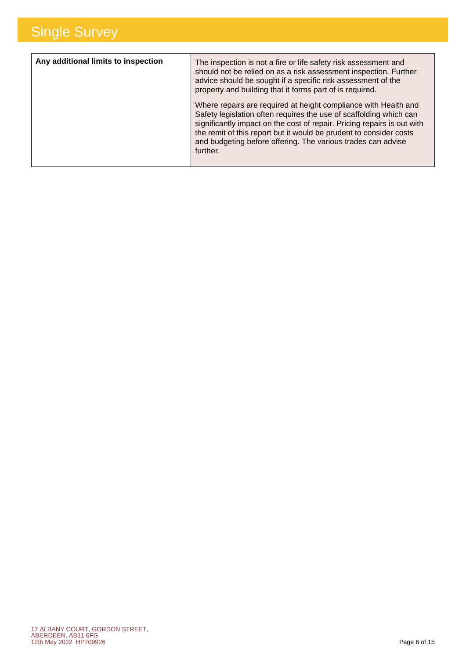| Any additional limits to inspection | The inspection is not a fire or life safety risk assessment and<br>should not be relied on as a risk assessment inspection. Further<br>advice should be sought if a specific risk assessment of the<br>property and building that it forms part of is required.                                                                                                    |
|-------------------------------------|--------------------------------------------------------------------------------------------------------------------------------------------------------------------------------------------------------------------------------------------------------------------------------------------------------------------------------------------------------------------|
|                                     | Where repairs are required at height compliance with Health and<br>Safety legislation often requires the use of scaffolding which can<br>significantly impact on the cost of repair. Pricing repairs is out with<br>the remit of this report but it would be prudent to consider costs<br>and budgeting before offering. The various trades can advise<br>further. |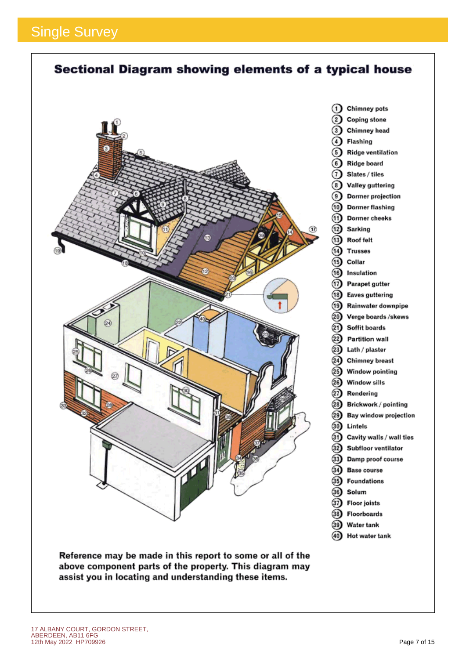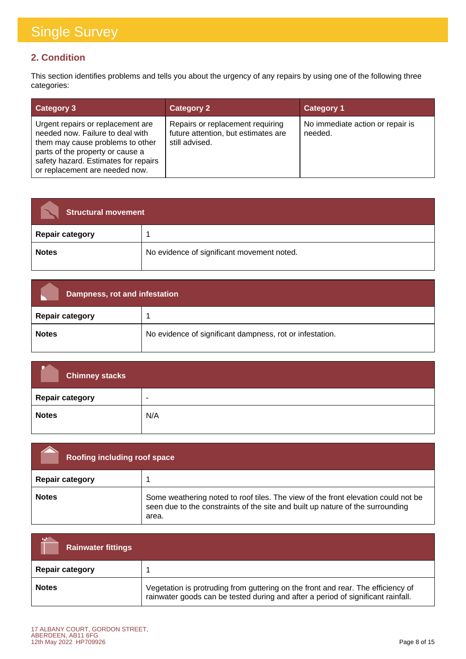#### **2. Condition**

This section identifies problems and tells you about the urgency of any repairs by using one of the following three categories:

| <b>Category 3</b>                                                                                                                                                                                                       | <b>Category 2</b>                                                                         | <b>Category 1</b>                           |
|-------------------------------------------------------------------------------------------------------------------------------------------------------------------------------------------------------------------------|-------------------------------------------------------------------------------------------|---------------------------------------------|
| Urgent repairs or replacement are<br>needed now. Failure to deal with<br>them may cause problems to other<br>parts of the property or cause a<br>safety hazard. Estimates for repairs<br>or replacement are needed now. | Repairs or replacement requiring<br>future attention, but estimates are<br>still advised. | No immediate action or repair is<br>needed. |

| <b>Structural movement</b> |                                            |
|----------------------------|--------------------------------------------|
| <b>Repair category</b>     |                                            |
| <b>Notes</b>               | No evidence of significant movement noted. |

| Dampness, rot and infestation |                                                          |
|-------------------------------|----------------------------------------------------------|
| <b>Repair category</b>        |                                                          |
| <b>Notes</b>                  | No evidence of significant dampness, rot or infestation. |

| <b>Chimney stacks</b>  |                          |
|------------------------|--------------------------|
| <b>Repair category</b> | $\overline{\phantom{a}}$ |
| <b>Notes</b>           | N/A                      |

| Roofing including roof space |                                                                                                                                                                              |
|------------------------------|------------------------------------------------------------------------------------------------------------------------------------------------------------------------------|
| <b>Repair category</b>       |                                                                                                                                                                              |
| <b>Notes</b>                 | Some weathering noted to roof tiles. The view of the front elevation could not be<br>seen due to the constraints of the site and built up nature of the surrounding<br>area. |

| <b>Rainwater fittings</b> |                                                                                                                                                                      |
|---------------------------|----------------------------------------------------------------------------------------------------------------------------------------------------------------------|
| <b>Repair category</b>    |                                                                                                                                                                      |
| <b>Notes</b>              | Vegetation is protruding from guttering on the front and rear. The efficiency of<br>rainwater goods can be tested during and after a period of significant rainfall. |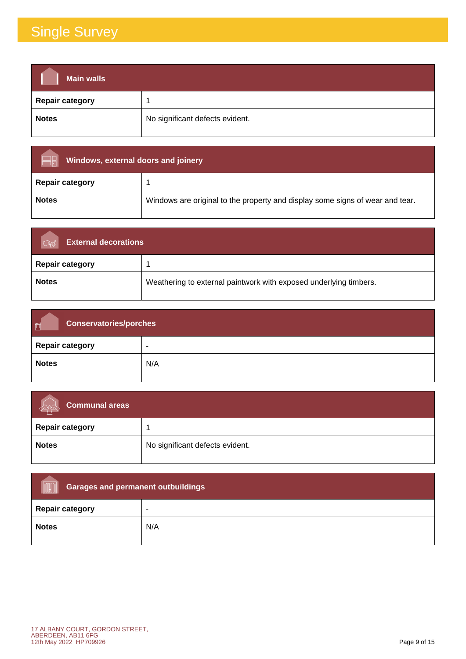| <b>Main walls</b>      |                                 |
|------------------------|---------------------------------|
| <b>Repair category</b> |                                 |
| <b>Notes</b>           | No significant defects evident. |

| Windows, external doors and joinery |                                                                               |
|-------------------------------------|-------------------------------------------------------------------------------|
| <b>Repair category</b>              |                                                                               |
| <b>Notes</b>                        | Windows are original to the property and display some signs of wear and tear. |

| <b>External decorations</b> |                                                                   |
|-----------------------------|-------------------------------------------------------------------|
| <b>Repair category</b>      |                                                                   |
| <b>Notes</b>                | Weathering to external paintwork with exposed underlying timbers. |

| <b>Conservatories/porches</b><br>画 |     |
|------------------------------------|-----|
| <b>Repair category</b>             | -   |
| <b>Notes</b>                       | N/A |

| Communal areas<br>dist |                                 |
|------------------------|---------------------------------|
| <b>Repair category</b> |                                 |
| <b>Notes</b>           | No significant defects evident. |

| <b>Garages and permanent outbuildings</b><br><b>VUHIIIII</b> |     |
|--------------------------------------------------------------|-----|
| <b>Repair category</b>                                       | -   |
| <b>Notes</b>                                                 | N/A |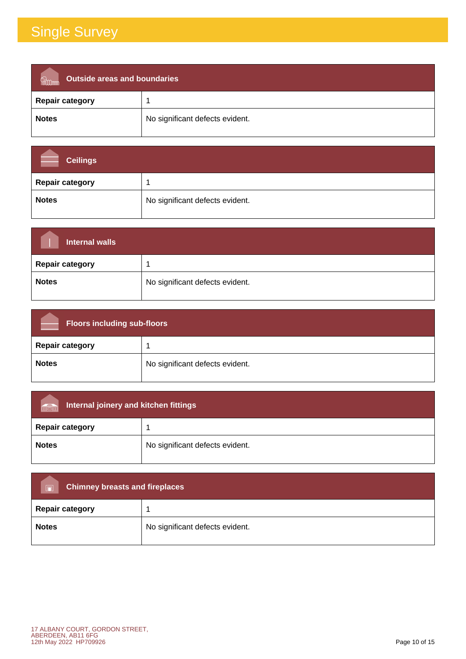| <b>Outside areas and boundaries</b><br><b>fi</b> llinn |                                 |
|--------------------------------------------------------|---------------------------------|
| <b>Repair category</b>                                 |                                 |
| <b>Notes</b>                                           | No significant defects evident. |

| <b>Ceilings</b>        |                                 |
|------------------------|---------------------------------|
| <b>Repair category</b> |                                 |
| <b>Notes</b>           | No significant defects evident. |

| <b>Internal walls</b>  |                                 |
|------------------------|---------------------------------|
| <b>Repair category</b> |                                 |
| <b>Notes</b>           | No significant defects evident. |

| <b>Floors including sub-floors</b> |                                 |
|------------------------------------|---------------------------------|
| <b>Repair category</b>             |                                 |
| <b>Notes</b>                       | No significant defects evident. |

| Internal joinery and kitchen fittings<br>män |                                 |
|----------------------------------------------|---------------------------------|
| <b>Repair category</b>                       |                                 |
| <b>Notes</b>                                 | No significant defects evident. |

| <b>Chimney breasts and fireplaces</b><br>$\Box$ |                                 |  |
|-------------------------------------------------|---------------------------------|--|
| <b>Repair category</b>                          |                                 |  |
| <b>Notes</b>                                    | No significant defects evident. |  |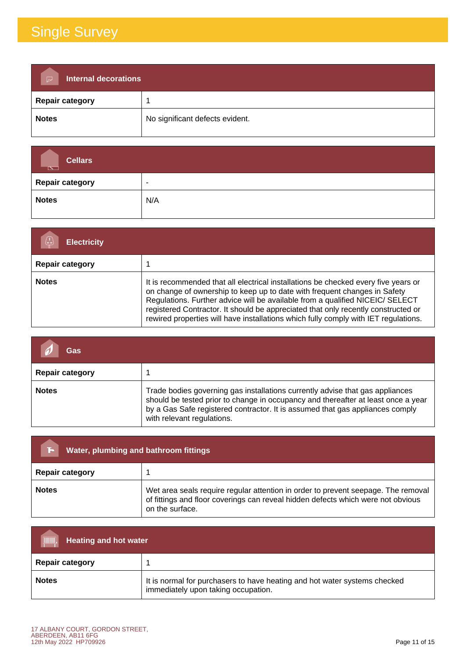| <b>Internal decorations</b><br>$\triangleright$ |                                 |  |
|-------------------------------------------------|---------------------------------|--|
| <b>Repair category</b>                          |                                 |  |
| <b>Notes</b>                                    | No significant defects evident. |  |

| <b>Cellars</b><br>$\overline{\phantom{a}}$ |                          |
|--------------------------------------------|--------------------------|
| <b>Repair category</b>                     | $\overline{\phantom{0}}$ |
| <b>Notes</b>                               | N/A                      |

| <b>Electricity</b>     |                                                                                                                                                                                                                                                                                                                                                                                                                              |  |
|------------------------|------------------------------------------------------------------------------------------------------------------------------------------------------------------------------------------------------------------------------------------------------------------------------------------------------------------------------------------------------------------------------------------------------------------------------|--|
| <b>Repair category</b> |                                                                                                                                                                                                                                                                                                                                                                                                                              |  |
| <b>Notes</b>           | It is recommended that all electrical installations be checked every five years or<br>on change of ownership to keep up to date with frequent changes in Safety<br>Regulations. Further advice will be available from a qualified NICEIC/ SELECT<br>registered Contractor. It should be appreciated that only recently constructed or<br>rewired properties will have installations which fully comply with IET regulations. |  |

| Gas                    |                                                                                                                                                                                                                                                                                   |
|------------------------|-----------------------------------------------------------------------------------------------------------------------------------------------------------------------------------------------------------------------------------------------------------------------------------|
| <b>Repair category</b> |                                                                                                                                                                                                                                                                                   |
| <b>Notes</b>           | Trade bodies governing gas installations currently advise that gas appliances<br>should be tested prior to change in occupancy and thereafter at least once a year<br>by a Gas Safe registered contractor. It is assumed that gas appliances comply<br>with relevant regulations. |

| Water, plumbing and bathroom fittings |                                                                                                                                                                                          |
|---------------------------------------|------------------------------------------------------------------------------------------------------------------------------------------------------------------------------------------|
| <b>Repair category</b>                |                                                                                                                                                                                          |
| <b>Notes</b>                          | Wet area seals require regular attention in order to prevent seepage. The removal<br>of fittings and floor coverings can reveal hidden defects which were not obvious<br>on the surface. |

| <b>THE TELEVISION</b><br><b>Heating and hot water</b> |                                                                                                                  |  |
|-------------------------------------------------------|------------------------------------------------------------------------------------------------------------------|--|
| <b>Repair category</b>                                |                                                                                                                  |  |
| <b>Notes</b>                                          | It is normal for purchasers to have heating and hot water systems checked<br>immediately upon taking occupation. |  |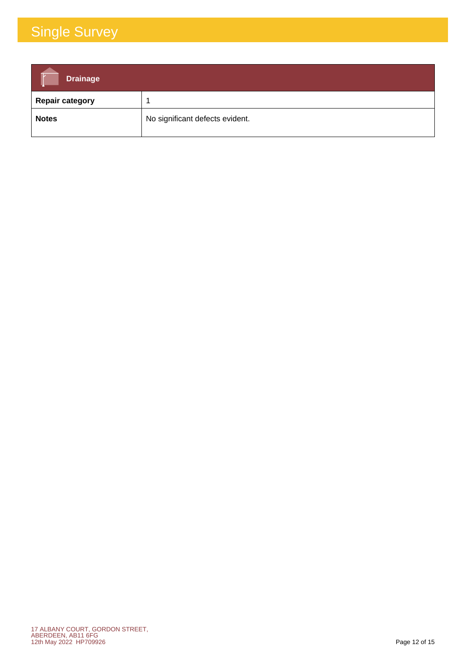| <b>Drainage</b>        |                                 |
|------------------------|---------------------------------|
| <b>Repair category</b> |                                 |
| <b>Notes</b>           | No significant defects evident. |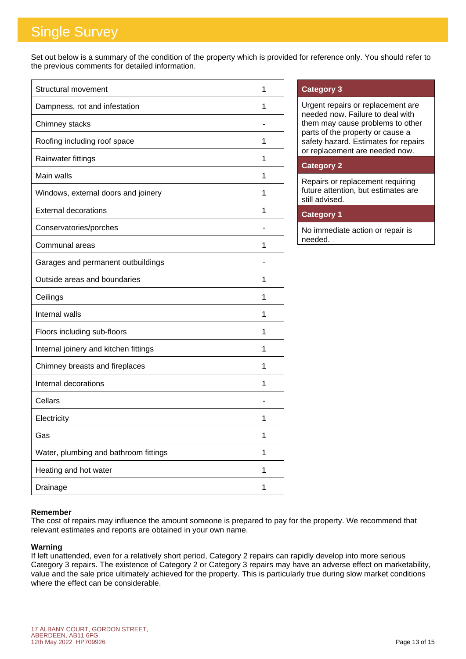Set out below is a summary of the condition of the property which is provided for reference only. You should refer to the previous comments for detailed information.

| Structural movement                   | 1 |
|---------------------------------------|---|
| Dampness, rot and infestation         | 1 |
| Chimney stacks                        |   |
| Roofing including roof space          | 1 |
| Rainwater fittings                    | 1 |
| Main walls                            | 1 |
| Windows, external doors and joinery   | 1 |
| <b>External decorations</b>           | 1 |
| Conservatories/porches                |   |
| Communal areas                        | 1 |
| Garages and permanent outbuildings    |   |
| Outside areas and boundaries          | 1 |
| Ceilings                              | 1 |
| Internal walls                        | 1 |
| Floors including sub-floors           | 1 |
| Internal joinery and kitchen fittings | 1 |
| Chimney breasts and fireplaces        | 1 |
| Internal decorations                  | 1 |
| Cellars                               |   |
| Electricity                           | 1 |
| Gas                                   | 1 |
| Water, plumbing and bathroom fittings | 1 |
| Heating and hot water                 | 1 |
| Drainage                              | 1 |

#### **Category 3**

Urgent repairs or replacement are needed now. Failure to deal with them may cause problems to other parts of the property or cause a safety hazard. Estimates for repairs or replacement are needed now.

#### **Category 2**

Repairs or replacement requiring future attention, but estimates are still advised.

#### **Category 1**

No immediate action or repair is needed.

#### **Remember**

The cost of repairs may influence the amount someone is prepared to pay for the property. We recommend that relevant estimates and reports are obtained in your own name.

#### **Warning**

If left unattended, even for a relatively short period, Category 2 repairs can rapidly develop into more serious Category 3 repairs. The existence of Category 2 or Category 3 repairs may have an adverse effect on marketability, value and the sale price ultimately achieved for the property. This is particularly true during slow market conditions where the effect can be considerable.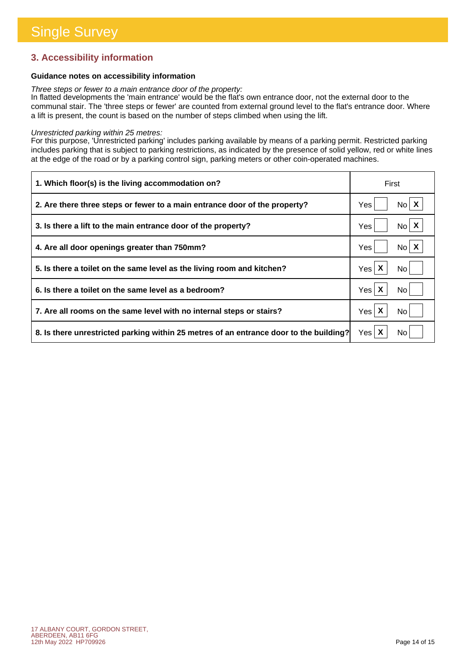#### **3. Accessibility information**

#### **Guidance notes on accessibility information**

*Three steps or fewer to a main entrance door of the property:*

In flatted developments the 'main entrance' would be the flat's own entrance door, not the external door to the communal stair. The 'three steps or fewer' are counted from external ground level to the flat's entrance door. Where a lift is present, the count is based on the number of steps climbed when using the lift.

#### *Unrestricted parking within 25 metres:*

For this purpose, 'Unrestricted parking' includes parking available by means of a parking permit. Restricted parking includes parking that is subject to parking restrictions, as indicated by the presence of solid yellow, red or white lines at the edge of the road or by a parking control sign, parking meters or other coin-operated machines.

| 1. Which floor(s) is the living accommodation on?                                      | First                                               |
|----------------------------------------------------------------------------------------|-----------------------------------------------------|
| 2. Are there three steps or fewer to a main entrance door of the property?             | No X<br>Yes                                         |
| 3. Is there a lift to the main entrance door of the property?                          | $No \mid X$<br>Yes                                  |
| 4. Are all door openings greater than 750mm?                                           | $No$ $X$<br>Yes                                     |
| 5. Is there a toilet on the same level as the living room and kitchen?                 | Yes <sub>l</sub><br>No l                            |
| 6. Is there a toilet on the same level as a bedroom?                                   | Yes <sub>l</sub><br>No.                             |
| 7. Are all rooms on the same level with no internal steps or stairs?                   | $\boldsymbol{\mathsf{X}}$<br>Yes <sub>l</sub><br>No |
| 8. Is there unrestricted parking within 25 metres of an entrance door to the building? | Yes <sub>l</sub><br>No.                             |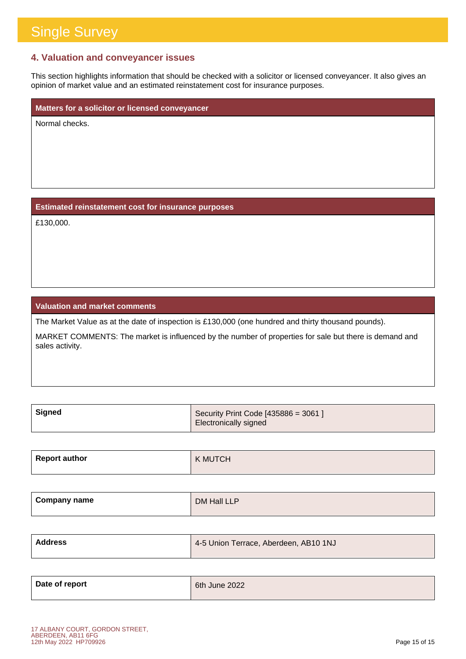#### **4. Valuation and conveyancer issues**

This section highlights information that should be checked with a solicitor or licensed conveyancer. It also gives an opinion of market value and an estimated reinstatement cost for insurance purposes.

**Matters for a solicitor or licensed conveyancer**

Normal checks.

#### **Estimated reinstatement cost for insurance purposes**

£130,000.

#### **Valuation and market comments**

The Market Value as at the date of inspection is £130,000 (one hundred and thirty thousand pounds).

MARKET COMMENTS: The market is influenced by the number of properties for sale but there is demand and sales activity.

| ∣ Signed | Security Print Code $[435886 = 3061]$ |
|----------|---------------------------------------|
|          | Electronically signed                 |

| <b>Report author</b> | <b>K MUTCH</b> |
|----------------------|----------------|
|----------------------|----------------|

| Company name | DM Hall LLP |
|--------------|-------------|
|              |             |

| <b>Address</b> | 4-5 Union Terrace, Aberdeen, AB10 1NJ |
|----------------|---------------------------------------|
|                |                                       |

| Date of report | 6th June 2022 |
|----------------|---------------|
|                |               |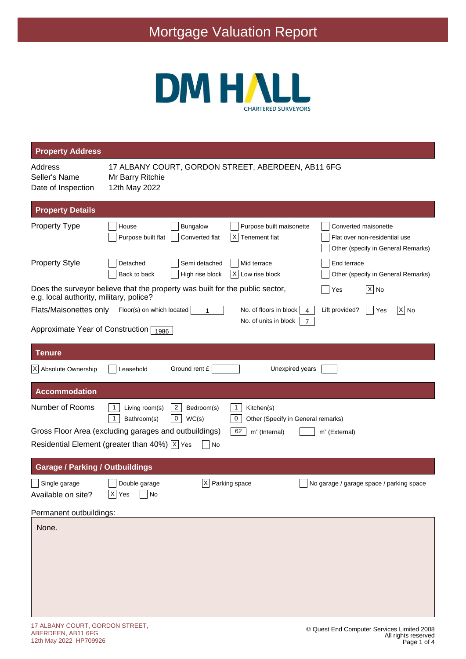

| <b>Property Address</b>                        |                                                                                                                                                                                                                     |
|------------------------------------------------|---------------------------------------------------------------------------------------------------------------------------------------------------------------------------------------------------------------------|
| Address<br>Seller's Name<br>Date of Inspection | 17 ALBANY COURT, GORDON STREET, ABERDEEN, AB11 6FG<br>Mr Barry Ritchie<br>12th May 2022                                                                                                                             |
| <b>Property Details</b>                        |                                                                                                                                                                                                                     |
| <b>Property Type</b>                           | Purpose built maisonette<br>Converted maisonette<br>House<br><b>Bungalow</b><br>Purpose built flat<br>Converted flat<br>ΙXΙ<br>Tenement flat<br>Flat over non-residential use<br>Other (specify in General Remarks) |
| <b>Property Style</b>                          | Detached<br>Semi detached<br>Mid terrace<br>End terrace<br>High rise block<br>ΙXΙ<br>Low rise block<br>Back to back<br>Other (specify in General Remarks)                                                           |
| e.g. local authority, military, police?        | Does the surveyor believe that the property was built for the public sector,<br>$ \overline{X} $ No<br>Yes                                                                                                          |
| Flats/Maisonettes only                         | $ \overline{X} $ No<br>Floor(s) on which located<br>No. of floors in block<br>Lift provided?<br>Yes<br>1<br>4<br>No. of units in block<br>$\overline{7}$                                                            |
| Approximate Year of Construction 1986          |                                                                                                                                                                                                                     |
| <b>Tenure</b>                                  |                                                                                                                                                                                                                     |
| X Absolute Ownership                           | Ground rent £<br>Unexpired years<br>Leasehold                                                                                                                                                                       |
| <b>Accommodation</b>                           |                                                                                                                                                                                                                     |
| Number of Rooms                                | $\overline{2}$<br>1<br>Living room(s)<br>Bedroom(s)<br>1<br>Kitchen(s)<br>$\mathbf 0$<br>1<br>Bathroom(s)<br>WC(s)<br>0<br>Other (Specify in General remarks)                                                       |
|                                                | Gross Floor Area (excluding garages and outbuildings)<br>62<br>$m2$ (Internal)<br>$m2$ (External)                                                                                                                   |
|                                                | Residential Element (greater than 40%) $ \overline{x} $ Yes<br>No                                                                                                                                                   |
| <b>Garage / Parking / Outbuildings</b>         |                                                                                                                                                                                                                     |
| Single garage<br>Available on site?            | X<br>Parking space<br>Double garage<br>No garage / garage space / parking space<br>$\overline{X}$ Yes<br>No                                                                                                         |
| Permanent outbuildings:                        |                                                                                                                                                                                                                     |
| None.                                          |                                                                                                                                                                                                                     |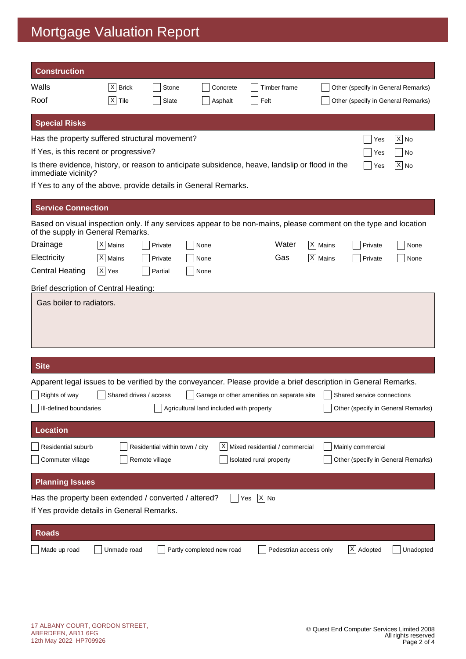| <b>Construction</b>                                                                                                                                   |                      |                                                  |                                          |                                            |                                |                        |             |                            |                                    |
|-------------------------------------------------------------------------------------------------------------------------------------------------------|----------------------|--------------------------------------------------|------------------------------------------|--------------------------------------------|--------------------------------|------------------------|-------------|----------------------------|------------------------------------|
| Walls                                                                                                                                                 | $ X $ Brick          | Stone                                            |                                          | Concrete                                   |                                | Timber frame           |             |                            | Other (specify in General Remarks) |
| Roof                                                                                                                                                  | $ X $ Tile           | Slate                                            |                                          | Asphalt                                    | Felt                           |                        |             |                            | Other (specify in General Remarks) |
| <b>Special Risks</b>                                                                                                                                  |                      |                                                  |                                          |                                            |                                |                        |             |                            |                                    |
| Has the property suffered structural movement?                                                                                                        |                      |                                                  |                                          |                                            |                                |                        |             | Yes                        | $ \mathsf{X} $ No                  |
| If Yes, is this recent or progressive?                                                                                                                |                      |                                                  |                                          |                                            |                                |                        |             | Yes                        | No                                 |
| Is there evidence, history, or reason to anticipate subsidence, heave, landslip or flood in the<br>immediate vicinity?                                |                      |                                                  |                                          |                                            |                                |                        |             | Yes                        | $ X $ No                           |
| If Yes to any of the above, provide details in General Remarks.                                                                                       |                      |                                                  |                                          |                                            |                                |                        |             |                            |                                    |
| <b>Service Connection</b>                                                                                                                             |                      |                                                  |                                          |                                            |                                |                        |             |                            |                                    |
| Based on visual inspection only. If any services appear to be non-mains, please comment on the type and location<br>of the supply in General Remarks. |                      |                                                  |                                          |                                            |                                |                        |             |                            |                                    |
| Drainage                                                                                                                                              | X   Mains            | Private                                          | None                                     |                                            |                                | Water                  | X   Mains   | Private                    | None                               |
| Electricity                                                                                                                                           | $ X $ Mains          | Private                                          | None                                     |                                            |                                | Gas                    | $ X $ Mains | Private                    | None                               |
| <b>Central Heating</b>                                                                                                                                | $ \overline{X} $ Yes | Partial                                          | None                                     |                                            |                                |                        |             |                            |                                    |
| Brief description of Central Heating:                                                                                                                 |                      |                                                  |                                          |                                            |                                |                        |             |                            |                                    |
|                                                                                                                                                       |                      |                                                  |                                          |                                            |                                |                        |             |                            |                                    |
| <b>Site</b>                                                                                                                                           |                      |                                                  |                                          |                                            |                                |                        |             |                            |                                    |
| Apparent legal issues to be verified by the conveyancer. Please provide a brief description in General Remarks.                                       |                      |                                                  |                                          |                                            |                                |                        |             |                            |                                    |
| Rights of way                                                                                                                                         |                      | Shared drives / access                           |                                          | Garage or other amenities on separate site |                                |                        |             | Shared service connections |                                    |
| Ill-defined boundaries                                                                                                                                |                      |                                                  | Agricultural land included with property |                                            |                                |                        |             |                            | Other (specify in General Remarks) |
| <b>Location</b>                                                                                                                                       |                      |                                                  |                                          |                                            |                                |                        |             |                            |                                    |
| Residential suburb                                                                                                                                    |                      |                                                  |                                          | ΙXΙ                                        | Mixed residential / commercial |                        |             | Mainly commercial          |                                    |
| Commuter village                                                                                                                                      |                      | Residential within town / city<br>Remote village |                                          |                                            | Isolated rural property        |                        |             |                            | Other (specify in General Remarks) |
| <b>Planning Issues</b>                                                                                                                                |                      |                                                  |                                          |                                            |                                |                        |             |                            |                                    |
| Has the property been extended / converted / altered?                                                                                                 |                      |                                                  |                                          | Yes                                        | $ X $ No                       |                        |             |                            |                                    |
| If Yes provide details in General Remarks.                                                                                                            |                      |                                                  |                                          |                                            |                                |                        |             |                            |                                    |
| <b>Roads</b>                                                                                                                                          |                      |                                                  |                                          |                                            |                                |                        |             |                            |                                    |
| Made up road                                                                                                                                          | Unmade road          |                                                  | Partly completed new road                |                                            |                                | Pedestrian access only |             | X Adopted                  | Unadopted                          |
|                                                                                                                                                       |                      |                                                  |                                          |                                            |                                |                        |             |                            |                                    |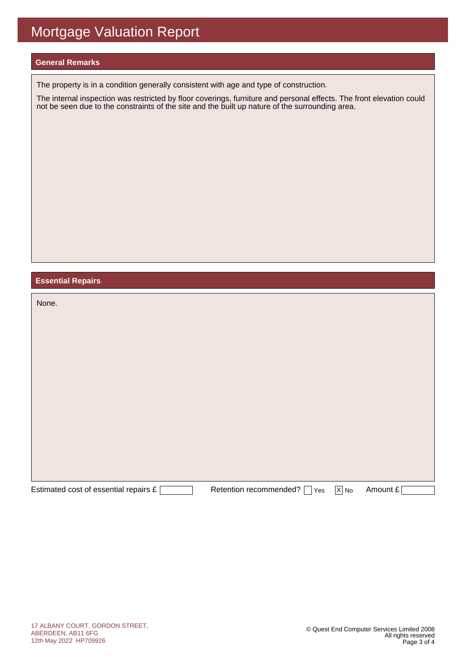#### **General Remarks**

The property is in a condition generally consistent with age and type of construction.

The internal inspection was restricted by floor coverings, furniture and personal effects. The front elevation could not be seen due to the constraints of the site and the built up nature of the surrounding area.

#### **Essential Repairs**

| None.                                 |                               |                   |          |
|---------------------------------------|-------------------------------|-------------------|----------|
|                                       |                               |                   |          |
|                                       |                               |                   |          |
|                                       |                               |                   |          |
|                                       |                               |                   |          |
|                                       |                               |                   |          |
|                                       |                               |                   |          |
|                                       |                               |                   |          |
| Estimated cost of essential repairs £ | Retention recommended?<br>Yes | $\overline{X}$ No | Amount £ |